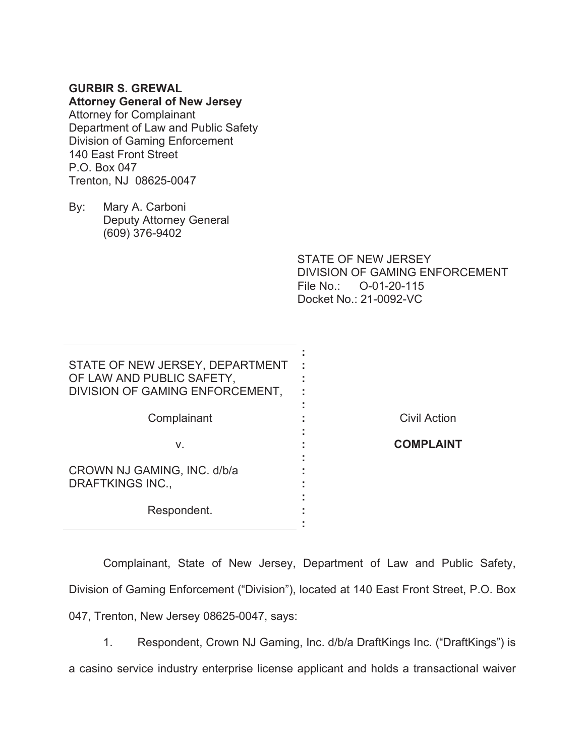## **GURBIR S. GREWAL**

## **Attorney General of New Jersey**

Attorney for Complainant Department of Law and Public Safety Division of Gaming Enforcement 140 East Front Street P.O. Box 047 Trenton, NJ 08625-0047

By: Mary A. Carboni Deputy Attorney General (609) 376-9402

> STATE OF NEW JERSEY DIVISION OF GAMING ENFORCEMENT File No.: O-01-20-115 Docket No.: 21-0092-VC

| STATE OF NEW JERSEY, DEPARTMENT<br>OF LAW AND PUBLIC SAFETY,<br>DIVISION OF GAMING ENFORCEMENT, |                     |
|-------------------------------------------------------------------------------------------------|---------------------|
| Complainant                                                                                     | <b>Civil Action</b> |
| V.                                                                                              | <b>COMPLAINT</b>    |
| CROWN NJ GAMING, INC. d/b/a<br><b>DRAFTKINGS INC.,</b>                                          |                     |
| Respondent.                                                                                     |                     |

 Complainant, State of New Jersey, Department of Law and Public Safety, Division of Gaming Enforcement ("Division"), located at 140 East Front Street, P.O. Box 047, Trenton, New Jersey 08625-0047, says:

1. Respondent, Crown NJ Gaming, Inc. d/b/a DraftKings Inc. ("DraftKings") is a casino service industry enterprise license applicant and holds a transactional waiver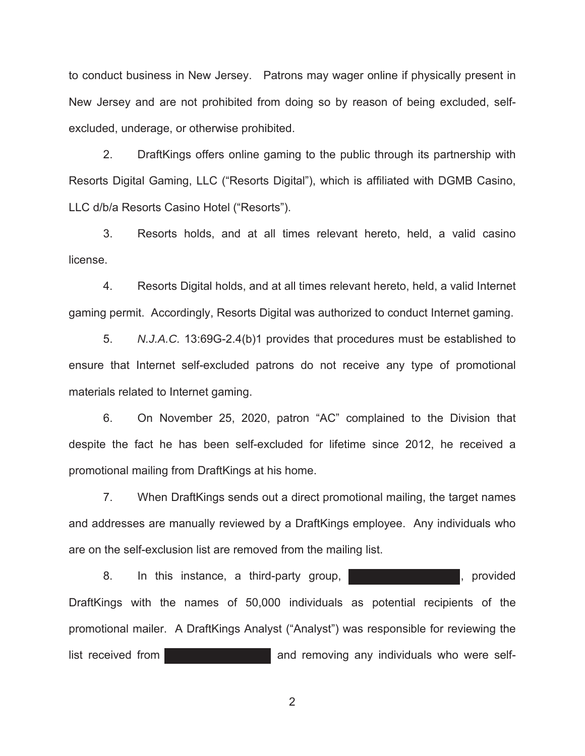to conduct business in New Jersey. Patrons may wager online if physically present in New Jersey and are not prohibited from doing so by reason of being excluded, selfexcluded, underage, or otherwise prohibited.

2. DraftKings offers online gaming to the public through its partnership with Resorts Digital Gaming, LLC ("Resorts Digital"), which is affiliated with DGMB Casino, LLC d/b/a Resorts Casino Hotel ("Resorts").

3. Resorts holds, and at all times relevant hereto, held, a valid casino license.

4. Resorts Digital holds, and at all times relevant hereto, held, a valid Internet gaming permit. Accordingly, Resorts Digital was authorized to conduct Internet gaming.

5. *N.J.A.C.* 13:69G-2.4(b)1 provides that procedures must be established to ensure that Internet self-excluded patrons do not receive any type of promotional materials related to Internet gaming.

6. On November 25, 2020, patron "AC" complained to the Division that despite the fact he has been self-excluded for lifetime since 2012, he received a promotional mailing from DraftKings at his home.

7. When DraftKings sends out a direct promotional mailing, the target names and addresses are manually reviewed by a DraftKings employee. Any individuals who are on the self-exclusion list are removed from the mailing list.

8. In this instance, a third-party group, **and the set of the set of the set of the set of the set of the set of the set of the set of the set of the set of the set of the set of the set of the set of the set of the set of** DraftKings with the names of 50,000 individuals as potential recipients of the promotional mailer. A DraftKings Analyst ("Analyst") was responsible for reviewing the list received from **and removing any individuals who were self-**

2